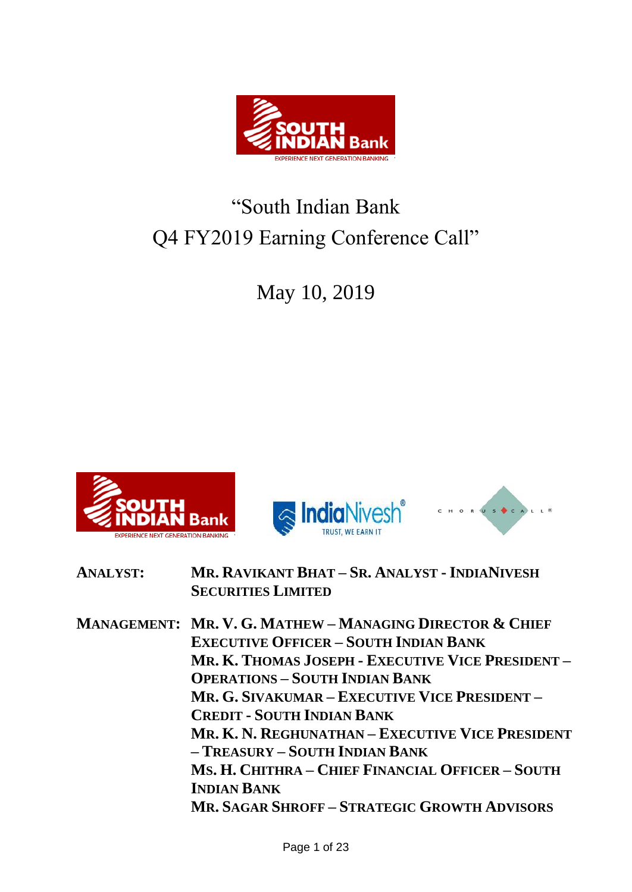

# "South Indian Bank Q4 FY2019 Earning Conference Call"

May 10, 2019







| <b>ANALYST:</b> | MR. RAVIKANT BHAT - SR. ANALYST - INDIANIVESH |
|-----------------|-----------------------------------------------|
|                 | <b>SECURITIES LIMITED</b>                     |

**MANAGEMENT: MR. V. G. MATHEW – MANAGING DIRECTOR & CHIEF EXECUTIVE OFFICER – SOUTH INDIAN BANK MR. K. THOMAS JOSEPH - EXECUTIVE VICE PRESIDENT – OPERATIONS – SOUTH INDIAN BANK MR. G. SIVAKUMAR – EXECUTIVE VICE PRESIDENT – CREDIT - SOUTH INDIAN BANK MR. K. N. REGHUNATHAN – EXECUTIVE VICE PRESIDENT – TREASURY – SOUTH INDIAN BANK MS. H. CHITHRA – CHIEF FINANCIAL OFFICER – SOUTH INDIAN BANK MR. SAGAR SHROFF – STRATEGIC GROWTH ADVISORS**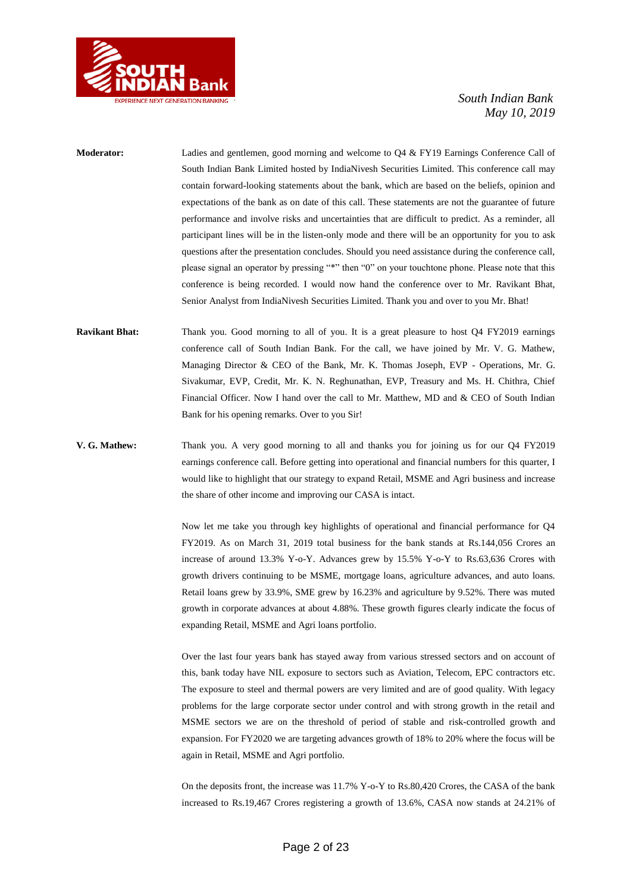

- **Moderator:** Ladies and gentlemen, good morning and welcome to Q4 & FY19 Earnings Conference Call of South Indian Bank Limited hosted by IndiaNivesh Securities Limited. This conference call may contain forward-looking statements about the bank, which are based on the beliefs, opinion and expectations of the bank as on date of this call. These statements are not the guarantee of future performance and involve risks and uncertainties that are difficult to predict. As a reminder, all participant lines will be in the listen-only mode and there will be an opportunity for you to ask questions after the presentation concludes. Should you need assistance during the conference call, please signal an operator by pressing "\*" then "0" on your touchtone phone. Please note that this conference is being recorded. I would now hand the conference over to Mr. Ravikant Bhat, Senior Analyst from IndiaNivesh Securities Limited. Thank you and over to you Mr. Bhat!
- **Ravikant Bhat:** Thank you. Good morning to all of you. It is a great pleasure to host Q4 FY2019 earnings conference call of South Indian Bank. For the call, we have joined by Mr. V. G. Mathew, Managing Director & CEO of the Bank, Mr. K. Thomas Joseph, EVP - Operations, Mr. G. Sivakumar, EVP, Credit, Mr. K. N. Reghunathan, EVP, Treasury and Ms. H. Chithra, Chief Financial Officer. Now I hand over the call to Mr. Matthew, MD and & CEO of South Indian Bank for his opening remarks. Over to you Sir!
- **V. G. Mathew:** Thank you. A very good morning to all and thanks you for joining us for our Q4 FY2019 earnings conference call. Before getting into operational and financial numbers for this quarter, I would like to highlight that our strategy to expand Retail, MSME and Agri business and increase the share of other income and improving our CASA is intact.

Now let me take you through key highlights of operational and financial performance for Q4 FY2019. As on March 31, 2019 total business for the bank stands at Rs.144,056 Crores an increase of around 13.3% Y-o-Y. Advances grew by 15.5% Y-o-Y to Rs.63,636 Crores with growth drivers continuing to be MSME, mortgage loans, agriculture advances, and auto loans. Retail loans grew by 33.9%, SME grew by 16.23% and agriculture by 9.52%. There was muted growth in corporate advances at about 4.88%. These growth figures clearly indicate the focus of expanding Retail, MSME and Agri loans portfolio.

Over the last four years bank has stayed away from various stressed sectors and on account of this, bank today have NIL exposure to sectors such as Aviation, Telecom, EPC contractors etc. The exposure to steel and thermal powers are very limited and are of good quality. With legacy problems for the large corporate sector under control and with strong growth in the retail and MSME sectors we are on the threshold of period of stable and risk-controlled growth and expansion. For FY2020 we are targeting advances growth of 18% to 20% where the focus will be again in Retail, MSME and Agri portfolio.

On the deposits front, the increase was 11.7% Y-o-Y to Rs.80,420 Crores, the CASA of the bank increased to Rs.19,467 Crores registering a growth of 13.6%, CASA now stands at 24.21% of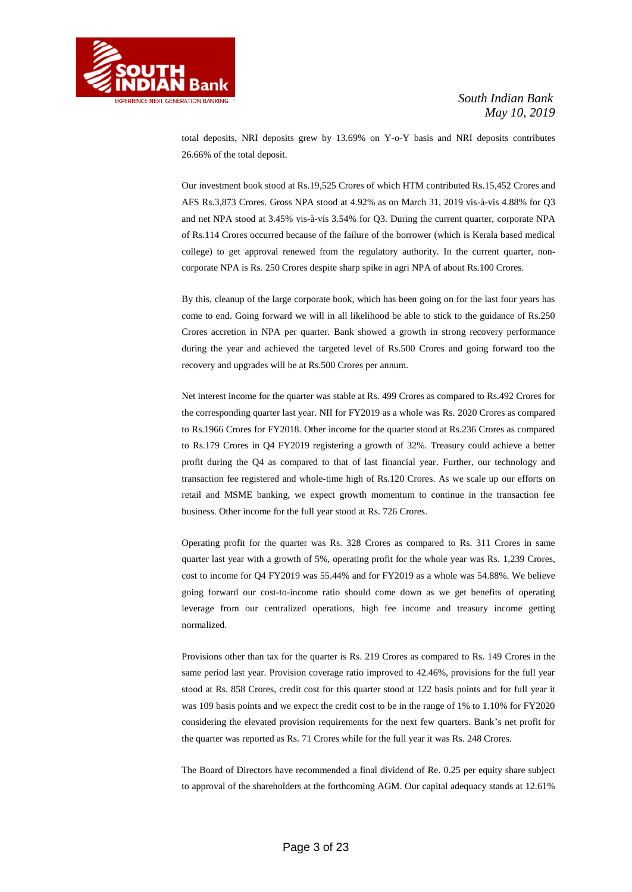

total deposits, NRI deposits grew by 13.69% on Y-o-Y basis and NRI deposits contributes 26.66% of the total deposit.

Our investment book stood at Rs.19,525 Crores of which HTM contributed Rs.15,452 Crores and AFS Rs.3,873 Crores. Gross NPA stood at 4.92% as on March 31, 2019 vis-à-vis 4.88% for Q3 and net NPA stood at 3.45% vis-à-vis 3.54% for Q3. During the current quarter, corporate NPA of Rs.114 Crores occurred because of the failure of the borrower (which is Kerala based medical college) to get approval renewed from the regulatory authority. In the current quarter, noncorporate NPA is Rs. 250 Crores despite sharp spike in agri NPA of about Rs.100 Crores.

By this, cleanup of the large corporate book, which has been going on for the last four years has come to end. Going forward we will in all likelihood be able to stick to the guidance of Rs.250 Crores accretion in NPA per quarter. Bank showed a growth in strong recovery performance during the year and achieved the targeted level of Rs.500 Crores and going forward too the recovery and upgrades will be at Rs.500 Crores per annum.

Net interest income for the quarter was stable at Rs. 499 Crores as compared to Rs.492 Crores for the corresponding quarter last year. NII for FY2019 as a whole was Rs. 2020 Crores as compared to Rs.1966 Crores for FY2018. Other income for the quarter stood at Rs.236 Crores as compared to Rs.179 Crores in Q4 FY2019 registering a growth of 32%. Treasury could achieve a better profit during the Q4 as compared to that of last financial year. Further, our technology and transaction fee registered and whole-time high of Rs.120 Crores. As we scale up our efforts on retail and MSME banking, we expect growth momentum to continue in the transaction fee business. Other income for the full year stood at Rs. 726 Crores.

Operating profit for the quarter was Rs. 328 Crores as compared to Rs. 311 Crores in same quarter last year with a growth of 5%, operating profit for the whole year was Rs. 1,239 Crores, cost to income for Q4 FY2019 was 55.44% and for FY2019 as a whole was 54.88%. We believe going forward our cost-to-income ratio should come down as we get benefits of operating leverage from our centralized operations, high fee income and treasury income getting normalized.

Provisions other than tax for the quarter is Rs. 219 Crores as compared to Rs. 149 Crores in the same period last year. Provision coverage ratio improved to 42.46%, provisions for the full year stood at Rs. 858 Crores, credit cost for this quarter stood at 122 basis points and for full year it was 109 basis points and we expect the credit cost to be in the range of 1% to 1.10% for FY2020 considering the elevated provision requirements for the next few quarters. Bank's net profit for the quarter was reported as Rs. 71 Crores while for the full year it was Rs. 248 Crores.

The Board of Directors have recommended a final dividend of Re. 0.25 per equity share subject to approval of the shareholders at the forthcoming AGM. Our capital adequacy stands at 12.61%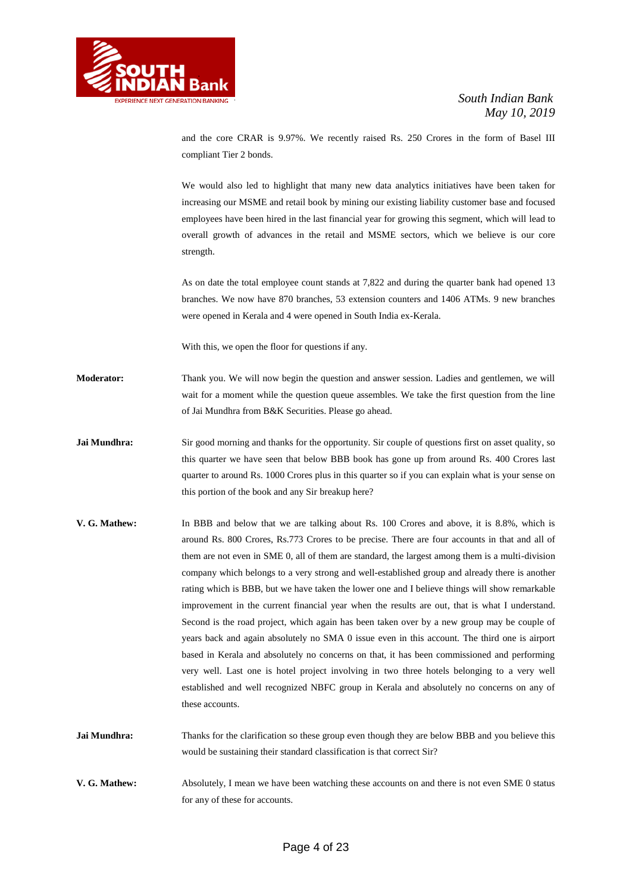

and the core CRAR is 9.97%. We recently raised Rs. 250 Crores in the form of Basel III compliant Tier 2 bonds.

We would also led to highlight that many new data analytics initiatives have been taken for increasing our MSME and retail book by mining our existing liability customer base and focused employees have been hired in the last financial year for growing this segment, which will lead to overall growth of advances in the retail and MSME sectors, which we believe is our core strength.

As on date the total employee count stands at 7,822 and during the quarter bank had opened 13 branches. We now have 870 branches, 53 extension counters and 1406 ATMs. 9 new branches were opened in Kerala and 4 were opened in South India ex-Kerala.

With this, we open the floor for questions if any.

- **Moderator:** Thank you. We will now begin the question and answer session. Ladies and gentlemen, we will wait for a moment while the question queue assembles. We take the first question from the line of Jai Mundhra from B&K Securities. Please go ahead.
- **Jai Mundhra:** Sir good morning and thanks for the opportunity. Sir couple of questions first on asset quality, so this quarter we have seen that below BBB book has gone up from around Rs. 400 Crores last quarter to around Rs. 1000 Crores plus in this quarter so if you can explain what is your sense on this portion of the book and any Sir breakup here?
- **V. G. Mathew:** In BBB and below that we are talking about Rs. 100 Crores and above, it is 8.8%, which is around Rs. 800 Crores, Rs.773 Crores to be precise. There are four accounts in that and all of them are not even in SME 0, all of them are standard, the largest among them is a multi-division company which belongs to a very strong and well-established group and already there is another rating which is BBB, but we have taken the lower one and I believe things will show remarkable improvement in the current financial year when the results are out, that is what I understand. Second is the road project, which again has been taken over by a new group may be couple of years back and again absolutely no SMA 0 issue even in this account. The third one is airport based in Kerala and absolutely no concerns on that, it has been commissioned and performing very well. Last one is hotel project involving in two three hotels belonging to a very well established and well recognized NBFC group in Kerala and absolutely no concerns on any of these accounts.
- **Jai Mundhra:** Thanks for the clarification so these group even though they are below BBB and you believe this would be sustaining their standard classification is that correct Sir?
- **V. G. Mathew:** Absolutely, I mean we have been watching these accounts on and there is not even SME 0 status for any of these for accounts.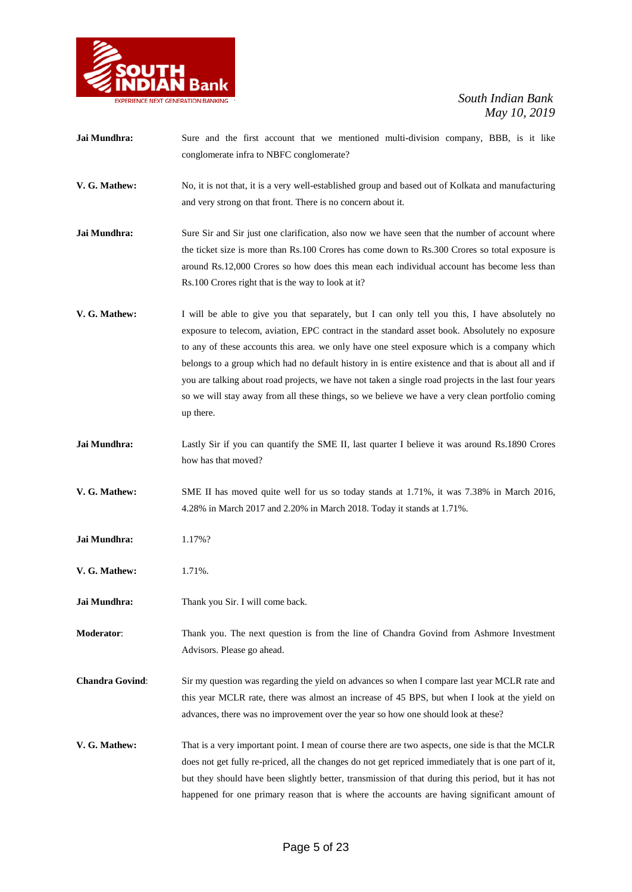

Jai Mundhra: Sure and the first account that we mentioned multi-division company, BBB, is it like conglomerate infra to NBFC conglomerate? **V. G. Mathew:** No, it is not that, it is a very well-established group and based out of Kolkata and manufacturing and very strong on that front. There is no concern about it. **Jai Mundhra:** Sure Sir and Sir just one clarification, also now we have seen that the number of account where the ticket size is more than Rs.100 Crores has come down to Rs.300 Crores so total exposure is around Rs.12,000 Crores so how does this mean each individual account has become less than Rs.100 Crores right that is the way to look at it? **V. G. Mathew:** I will be able to give you that separately, but I can only tell you this, I have absolutely no exposure to telecom, aviation, EPC contract in the standard asset book. Absolutely no exposure to any of these accounts this area. we only have one steel exposure which is a company which belongs to a group which had no default history in is entire existence and that is about all and if you are talking about road projects, we have not taken a single road projects in the last four years so we will stay away from all these things, so we believe we have a very clean portfolio coming up there. Jai Mundhra: Lastly Sir if you can quantify the SME II, last quarter I believe it was around Rs.1890 Crores how has that moved? **V. G. Mathew:** SME II has moved quite well for us so today stands at 1.71%, it was 7.38% in March 2016, 4.28% in March 2017 and 2.20% in March 2018. Today it stands at 1.71%. **Jai Mundhra:** 1.17%? **V. G. Mathew:** 1.71%. **Jai Mundhra:** Thank you Sir. I will come back. **Moderator**: Thank you. The next question is from the line of Chandra Govind from Ashmore Investment Advisors. Please go ahead. **Chandra Govind**: Sir my question was regarding the yield on advances so when I compare last year MCLR rate and this year MCLR rate, there was almost an increase of 45 BPS, but when I look at the yield on advances, there was no improvement over the year so how one should look at these? **V. G. Mathew:** That is a very important point. I mean of course there are two aspects, one side is that the MCLR does not get fully re-priced, all the changes do not get repriced immediately that is one part of it, but they should have been slightly better, transmission of that during this period, but it has not happened for one primary reason that is where the accounts are having significant amount of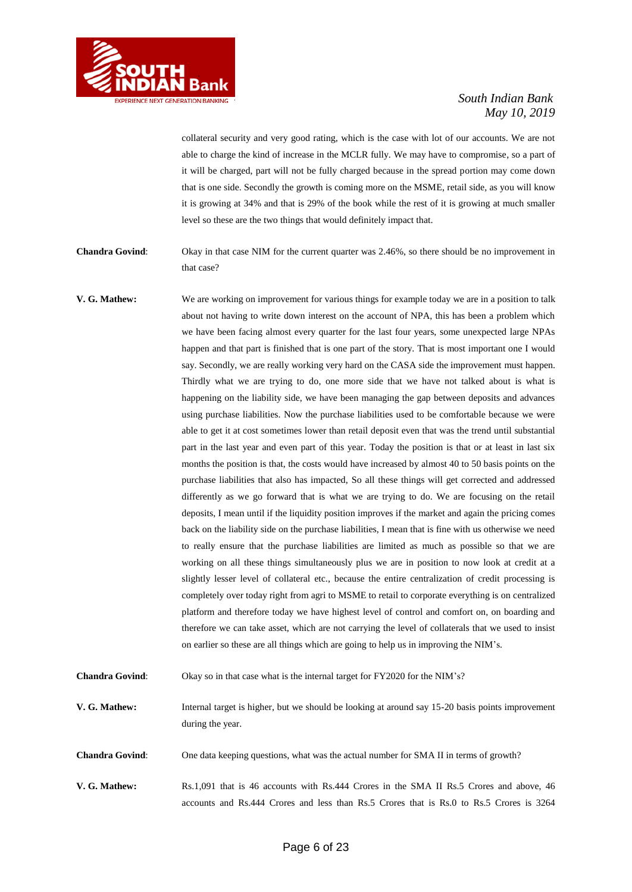

collateral security and very good rating, which is the case with lot of our accounts. We are not able to charge the kind of increase in the MCLR fully. We may have to compromise, so a part of it will be charged, part will not be fully charged because in the spread portion may come down that is one side. Secondly the growth is coming more on the MSME, retail side, as you will know it is growing at 34% and that is 29% of the book while the rest of it is growing at much smaller level so these are the two things that would definitely impact that.

**Chandra Govind**: Okay in that case NIM for the current quarter was 2.46%, so there should be no improvement in that case?

**V. G. Mathew:** We are working on improvement for various things for example today we are in a position to talk about not having to write down interest on the account of NPA, this has been a problem which we have been facing almost every quarter for the last four years, some unexpected large NPAs happen and that part is finished that is one part of the story. That is most important one I would say. Secondly, we are really working very hard on the CASA side the improvement must happen. Thirdly what we are trying to do, one more side that we have not talked about is what is happening on the liability side, we have been managing the gap between deposits and advances using purchase liabilities. Now the purchase liabilities used to be comfortable because we were able to get it at cost sometimes lower than retail deposit even that was the trend until substantial part in the last year and even part of this year. Today the position is that or at least in last six months the position is that, the costs would have increased by almost 40 to 50 basis points on the purchase liabilities that also has impacted, So all these things will get corrected and addressed differently as we go forward that is what we are trying to do. We are focusing on the retail deposits, I mean until if the liquidity position improves if the market and again the pricing comes back on the liability side on the purchase liabilities, I mean that is fine with us otherwise we need to really ensure that the purchase liabilities are limited as much as possible so that we are working on all these things simultaneously plus we are in position to now look at credit at a slightly lesser level of collateral etc., because the entire centralization of credit processing is completely over today right from agri to MSME to retail to corporate everything is on centralized platform and therefore today we have highest level of control and comfort on, on boarding and therefore we can take asset, which are not carrying the level of collaterals that we used to insist on earlier so these are all things which are going to help us in improving the NIM's.

**Chandra Govind:** Okay so in that case what is the internal target for FY2020 for the NIM's?

**V. G. Mathew:** Internal target is higher, but we should be looking at around say 15-20 basis points improvement during the year.

**Chandra Govind**: One data keeping questions, what was the actual number for SMA II in terms of growth?

**V. G. Mathew:** Rs.1,091 that is 46 accounts with Rs.444 Crores in the SMA II Rs.5 Crores and above, 46 accounts and Rs.444 Crores and less than Rs.5 Crores that is Rs.0 to Rs.5 Crores is 3264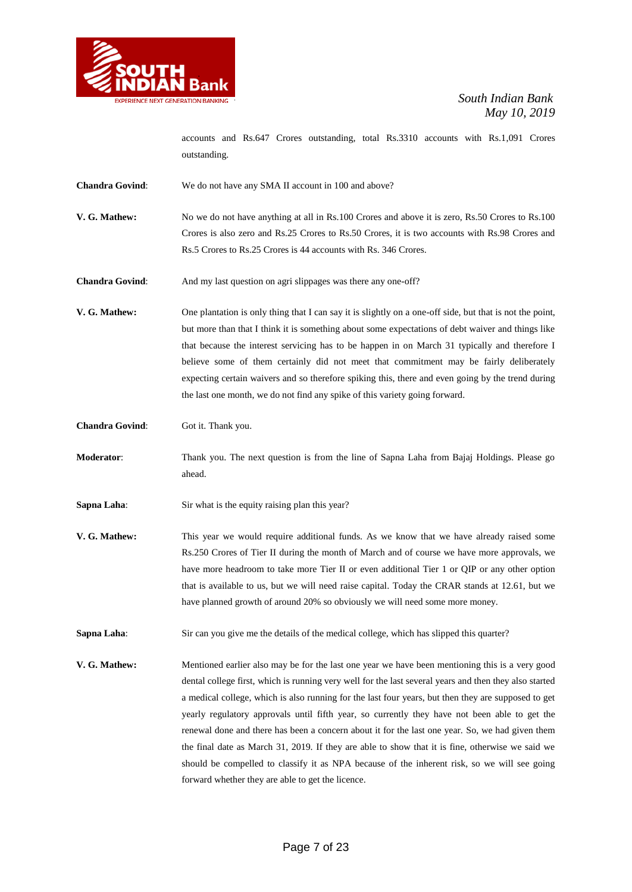

accounts and Rs.647 Crores outstanding, total Rs.3310 accounts with Rs.1,091 Crores outstanding.

**Chandra Govind**: We do not have any SMA II account in 100 and above?

**V. G. Mathew:** No we do not have anything at all in Rs.100 Crores and above it is zero, Rs.50 Crores to Rs.100 Crores is also zero and Rs.25 Crores to Rs.50 Crores, it is two accounts with Rs.98 Crores and Rs.5 Crores to Rs.25 Crores is 44 accounts with Rs. 346 Crores.

**Chandra Govind:** And my last question on agri slippages was there any one-off?

**V. G. Mathew:** One plantation is only thing that I can say it is slightly on a one-off side, but that is not the point, but more than that I think it is something about some expectations of debt waiver and things like that because the interest servicing has to be happen in on March 31 typically and therefore I believe some of them certainly did not meet that commitment may be fairly deliberately expecting certain waivers and so therefore spiking this, there and even going by the trend during the last one month, we do not find any spike of this variety going forward.

**Chandra Govind:** Got it. Thank you.

**Moderator**: Thank you. The next question is from the line of Sapna Laha from Bajaj Holdings. Please go ahead.

**Sapna Laha:** Sir what is the equity raising plan this year?

**V. G. Mathew:** This year we would require additional funds. As we know that we have already raised some Rs.250 Crores of Tier II during the month of March and of course we have more approvals, we have more headroom to take more Tier II or even additional Tier 1 or QIP or any other option that is available to us, but we will need raise capital. Today the CRAR stands at 12.61, but we have planned growth of around 20% so obviously we will need some more money.

**Sapna Laha:** Sir can you give me the details of the medical college, which has slipped this quarter?

**V. G. Mathew:** Mentioned earlier also may be for the last one year we have been mentioning this is a very good dental college first, which is running very well for the last several years and then they also started a medical college, which is also running for the last four years, but then they are supposed to get yearly regulatory approvals until fifth year, so currently they have not been able to get the renewal done and there has been a concern about it for the last one year. So, we had given them the final date as March 31, 2019. If they are able to show that it is fine, otherwise we said we should be compelled to classify it as NPA because of the inherent risk, so we will see going forward whether they are able to get the licence.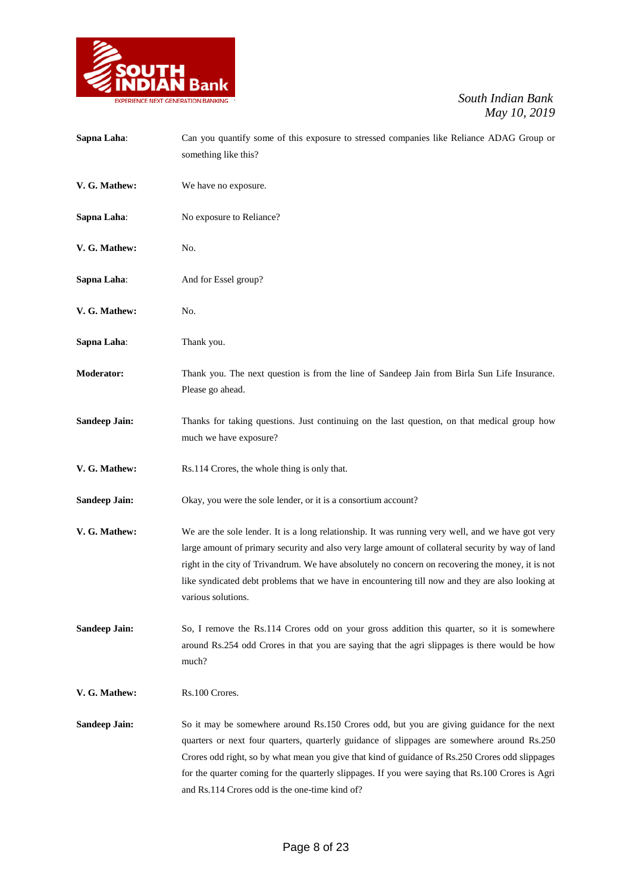

| Sapna Laha:          | Can you quantify some of this exposure to stressed companies like Reliance ADAG Group or<br>something like this?                                                                                                                                                                                                                                                                                                                                   |
|----------------------|----------------------------------------------------------------------------------------------------------------------------------------------------------------------------------------------------------------------------------------------------------------------------------------------------------------------------------------------------------------------------------------------------------------------------------------------------|
| V. G. Mathew:        | We have no exposure.                                                                                                                                                                                                                                                                                                                                                                                                                               |
| Sapna Laha:          | No exposure to Reliance?                                                                                                                                                                                                                                                                                                                                                                                                                           |
| V. G. Mathew:        | No.                                                                                                                                                                                                                                                                                                                                                                                                                                                |
| Sapna Laha:          | And for Essel group?                                                                                                                                                                                                                                                                                                                                                                                                                               |
| V. G. Mathew:        | No.                                                                                                                                                                                                                                                                                                                                                                                                                                                |
| Sapna Laha:          | Thank you.                                                                                                                                                                                                                                                                                                                                                                                                                                         |
| <b>Moderator:</b>    | Thank you. The next question is from the line of Sandeep Jain from Birla Sun Life Insurance.<br>Please go ahead.                                                                                                                                                                                                                                                                                                                                   |
| <b>Sandeep Jain:</b> | Thanks for taking questions. Just continuing on the last question, on that medical group how<br>much we have exposure?                                                                                                                                                                                                                                                                                                                             |
| V. G. Mathew:        | Rs.114 Crores, the whole thing is only that.                                                                                                                                                                                                                                                                                                                                                                                                       |
| <b>Sandeep Jain:</b> | Okay, you were the sole lender, or it is a consortium account?                                                                                                                                                                                                                                                                                                                                                                                     |
| V. G. Mathew:        | We are the sole lender. It is a long relationship. It was running very well, and we have got very<br>large amount of primary security and also very large amount of collateral security by way of land<br>right in the city of Trivandrum. We have absolutely no concern on recovering the money, it is not<br>like syndicated debt problems that we have in encountering till now and they are also looking at<br>various solutions.              |
| <b>Sandeep Jain:</b> | So, I remove the Rs.114 Crores odd on your gross addition this quarter, so it is somewhere<br>around Rs.254 odd Crores in that you are saying that the agri slippages is there would be how<br>much?                                                                                                                                                                                                                                               |
| V. G. Mathew:        | Rs.100 Crores.                                                                                                                                                                                                                                                                                                                                                                                                                                     |
| <b>Sandeep Jain:</b> | So it may be somewhere around Rs.150 Crores odd, but you are giving guidance for the next<br>quarters or next four quarters, quarterly guidance of slippages are somewhere around Rs.250<br>Crores odd right, so by what mean you give that kind of guidance of Rs.250 Crores odd slippages<br>for the quarter coming for the quarterly slippages. If you were saying that Rs.100 Crores is Agri<br>and Rs.114 Crores odd is the one-time kind of? |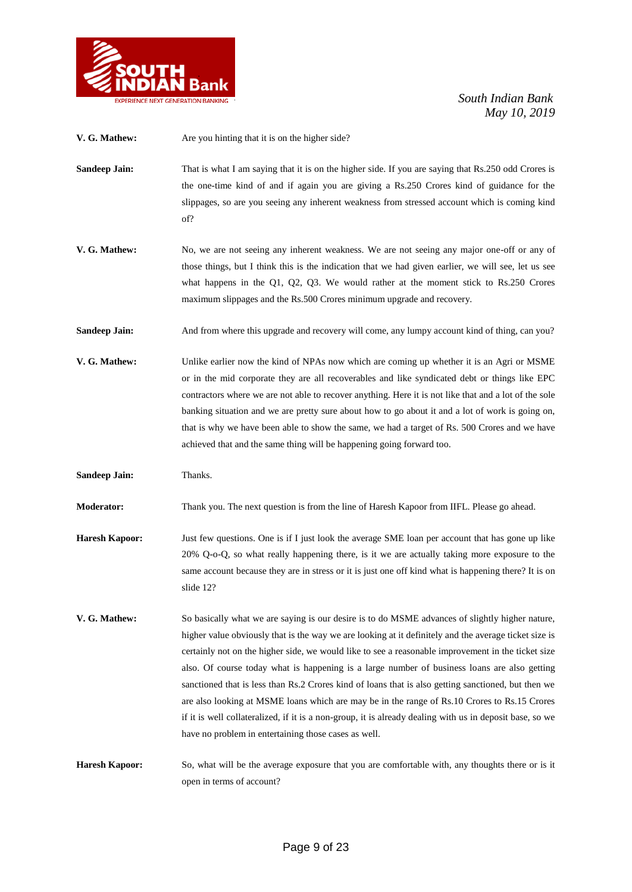

| V. G. Mathew:         | Are you hinting that it is on the higher side?                                                                                                                                                                                                                                                                                                                                                                                                                                                                                                                                                                                                                                                                                                                                            |
|-----------------------|-------------------------------------------------------------------------------------------------------------------------------------------------------------------------------------------------------------------------------------------------------------------------------------------------------------------------------------------------------------------------------------------------------------------------------------------------------------------------------------------------------------------------------------------------------------------------------------------------------------------------------------------------------------------------------------------------------------------------------------------------------------------------------------------|
| <b>Sandeep Jain:</b>  | That is what I am saying that it is on the higher side. If you are saying that Rs.250 odd Crores is<br>the one-time kind of and if again you are giving a Rs.250 Crores kind of guidance for the<br>slippages, so are you seeing any inherent weakness from stressed account which is coming kind<br>of?                                                                                                                                                                                                                                                                                                                                                                                                                                                                                  |
| V. G. Mathew:         | No, we are not seeing any inherent weakness. We are not seeing any major one-off or any of<br>those things, but I think this is the indication that we had given earlier, we will see, let us see<br>what happens in the Q1, Q2, Q3. We would rather at the moment stick to $Rs.250$ Crores<br>maximum slippages and the Rs.500 Crores minimum upgrade and recovery.                                                                                                                                                                                                                                                                                                                                                                                                                      |
| <b>Sandeep Jain:</b>  | And from where this upgrade and recovery will come, any lumpy account kind of thing, can you?                                                                                                                                                                                                                                                                                                                                                                                                                                                                                                                                                                                                                                                                                             |
| V. G. Mathew:         | Unlike earlier now the kind of NPAs now which are coming up whether it is an Agri or MSME<br>or in the mid corporate they are all recoverables and like syndicated debt or things like EPC<br>contractors where we are not able to recover anything. Here it is not like that and a lot of the sole<br>banking situation and we are pretty sure about how to go about it and a lot of work is going on,<br>that is why we have been able to show the same, we had a target of Rs. 500 Crores and we have<br>achieved that and the same thing will be happening going forward too.                                                                                                                                                                                                         |
|                       |                                                                                                                                                                                                                                                                                                                                                                                                                                                                                                                                                                                                                                                                                                                                                                                           |
| <b>Sandeep Jain:</b>  | Thanks.                                                                                                                                                                                                                                                                                                                                                                                                                                                                                                                                                                                                                                                                                                                                                                                   |
| <b>Moderator:</b>     | Thank you. The next question is from the line of Haresh Kapoor from IIFL. Please go ahead.                                                                                                                                                                                                                                                                                                                                                                                                                                                                                                                                                                                                                                                                                                |
| <b>Haresh Kapoor:</b> | Just few questions. One is if I just look the average SME loan per account that has gone up like<br>20% Q-o-Q, so what really happening there, is it we are actually taking more exposure to the<br>same account because they are in stress or it is just one off kind what is happening there? It is on<br>slide 12?                                                                                                                                                                                                                                                                                                                                                                                                                                                                     |
| V. G. Mathew:         | So basically what we are saying is our desire is to do MSME advances of slightly higher nature,<br>higher value obviously that is the way we are looking at it definitely and the average ticket size is<br>certainly not on the higher side, we would like to see a reasonable improvement in the ticket size<br>also. Of course today what is happening is a large number of business loans are also getting<br>sanctioned that is less than Rs.2 Crores kind of loans that is also getting sanctioned, but then we<br>are also looking at MSME loans which are may be in the range of Rs.10 Crores to Rs.15 Crores<br>if it is well collateralized, if it is a non-group, it is already dealing with us in deposit base, so we<br>have no problem in entertaining those cases as well. |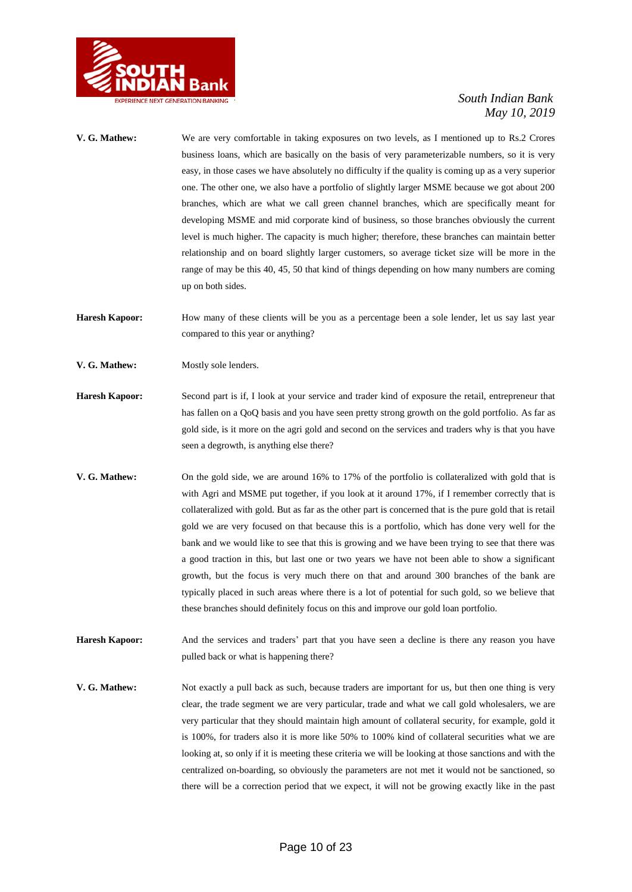

- **V. G. Mathew:** We are very comfortable in taking exposures on two levels, as I mentioned up to Rs.2 Crores business loans, which are basically on the basis of very parameterizable numbers, so it is very easy, in those cases we have absolutely no difficulty if the quality is coming up as a very superior one. The other one, we also have a portfolio of slightly larger MSME because we got about 200 branches, which are what we call green channel branches, which are specifically meant for developing MSME and mid corporate kind of business, so those branches obviously the current level is much higher. The capacity is much higher; therefore, these branches can maintain better relationship and on board slightly larger customers, so average ticket size will be more in the range of may be this 40, 45, 50 that kind of things depending on how many numbers are coming up on both sides. Haresh Kapoor: How many of these clients will be you as a percentage been a sole lender, let us say last year compared to this year or anything? **V. G. Mathew:** Mostly sole lenders. **Haresh Kapoor:** Second part is if, I look at your service and trader kind of exposure the retail, entrepreneur that has fallen on a QoQ basis and you have seen pretty strong growth on the gold portfolio. As far as gold side, is it more on the agri gold and second on the services and traders why is that you have seen a degrowth, is anything else there? **V. G. Mathew:** On the gold side, we are around 16% to 17% of the portfolio is collateralized with gold that is with Agri and MSME put together, if you look at it around 17%, if I remember correctly that is collateralized with gold. But as far as the other part is concerned that is the pure gold that is retail gold we are very focused on that because this is a portfolio, which has done very well for the bank and we would like to see that this is growing and we have been trying to see that there was a good traction in this, but last one or two years we have not been able to show a significant growth, but the focus is very much there on that and around 300 branches of the bank are typically placed in such areas where there is a lot of potential for such gold, so we believe that these branches should definitely focus on this and improve our gold loan portfolio. **Haresh Kapoor:** And the services and traders' part that you have seen a decline is there any reason you have pulled back or what is happening there?
- **V. G. Mathew:** Not exactly a pull back as such, because traders are important for us, but then one thing is very clear, the trade segment we are very particular, trade and what we call gold wholesalers, we are very particular that they should maintain high amount of collateral security, for example, gold it is 100%, for traders also it is more like 50% to 100% kind of collateral securities what we are looking at, so only if it is meeting these criteria we will be looking at those sanctions and with the centralized on-boarding, so obviously the parameters are not met it would not be sanctioned, so there will be a correction period that we expect, it will not be growing exactly like in the past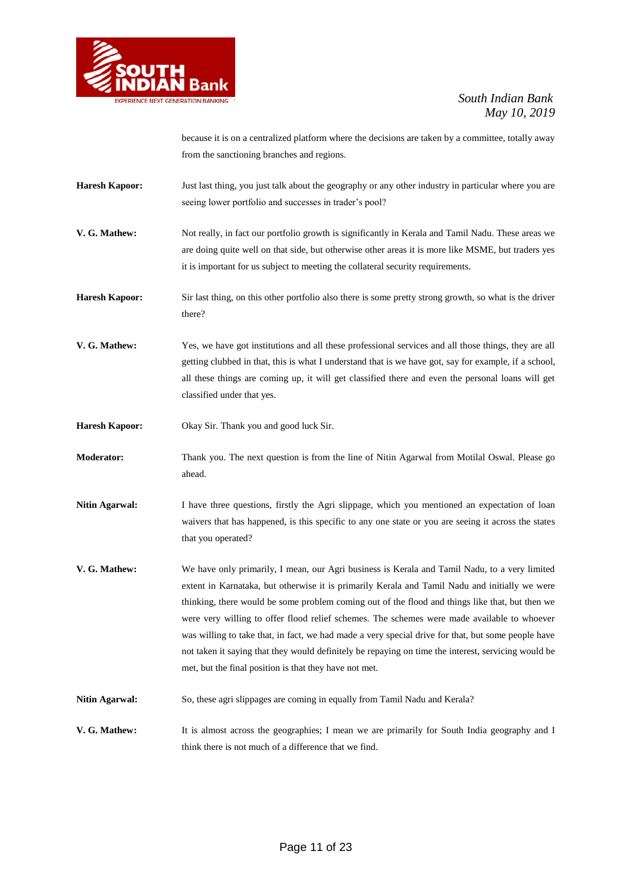

because it is on a centralized platform where the decisions are taken by a committee, totally away from the sanctioning branches and regions.

- **Haresh Kapoor:** Just last thing, you just talk about the geography or any other industry in particular where you are seeing lower portfolio and successes in trader's pool?
- **V. G. Mathew:** Not really, in fact our portfolio growth is significantly in Kerala and Tamil Nadu. These areas we are doing quite well on that side, but otherwise other areas it is more like MSME, but traders yes it is important for us subject to meeting the collateral security requirements.
- **Haresh Kapoor:** Sir last thing, on this other portfolio also there is some pretty strong growth, so what is the driver there?
- **V. G. Mathew:** Yes, we have got institutions and all these professional services and all those things, they are all getting clubbed in that, this is what I understand that is we have got, say for example, if a school, all these things are coming up, it will get classified there and even the personal loans will get classified under that yes.
- **Haresh Kapoor:** Okay Sir. Thank you and good luck Sir.
- **Moderator:** Thank you. The next question is from the line of Nitin Agarwal from Motilal Oswal. Please go ahead.
- **Nitin Agarwal:** I have three questions, firstly the Agri slippage, which you mentioned an expectation of loan waivers that has happened, is this specific to any one state or you are seeing it across the states that you operated?
- **V. G. Mathew:** We have only primarily, I mean, our Agri business is Kerala and Tamil Nadu, to a very limited extent in Karnataka, but otherwise it is primarily Kerala and Tamil Nadu and initially we were thinking, there would be some problem coming out of the flood and things like that, but then we were very willing to offer flood relief schemes. The schemes were made available to whoever was willing to take that, in fact, we had made a very special drive for that, but some people have not taken it saying that they would definitely be repaying on time the interest, servicing would be met, but the final position is that they have not met.
- **Nitin Agarwal:** So, these agri slippages are coming in equally from Tamil Nadu and Kerala?
- **V. G. Mathew:** It is almost across the geographies; I mean we are primarily for South India geography and I think there is not much of a difference that we find.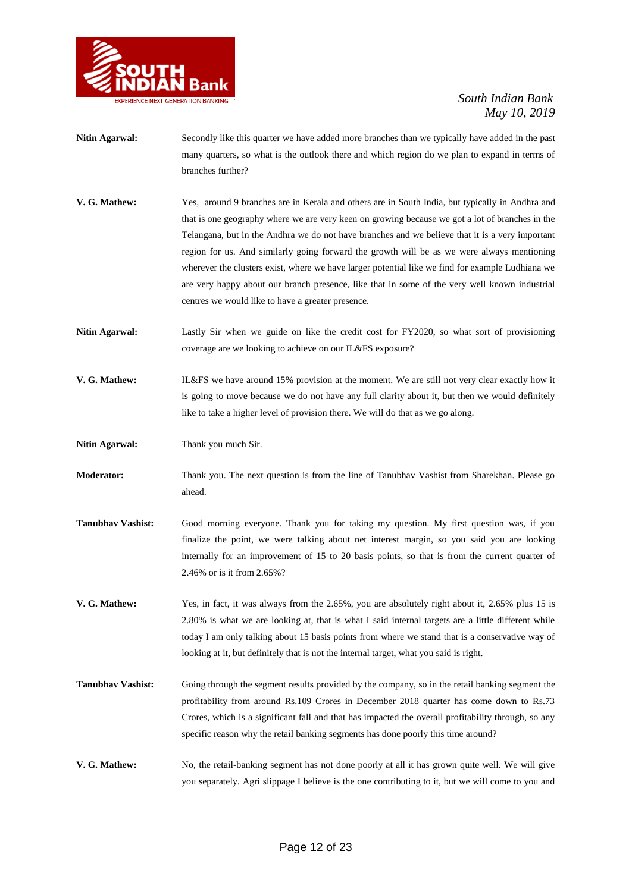

- **Nitin Agarwal:** Secondly like this quarter we have added more branches than we typically have added in the past many quarters, so what is the outlook there and which region do we plan to expand in terms of branches further?
- **V. G. Mathew:** Yes, around 9 branches are in Kerala and others are in South India, but typically in Andhra and that is one geography where we are very keen on growing because we got a lot of branches in the Telangana, but in the Andhra we do not have branches and we believe that it is a very important region for us. And similarly going forward the growth will be as we were always mentioning wherever the clusters exist, where we have larger potential like we find for example Ludhiana we are very happy about our branch presence, like that in some of the very well known industrial centres we would like to have a greater presence.
- **Nitin Agarwal:** Lastly Sir when we guide on like the credit cost for FY2020, so what sort of provisioning coverage are we looking to achieve on our IL&FS exposure?
- **V. G. Mathew:** IL&FS we have around 15% provision at the moment. We are still not very clear exactly how it is going to move because we do not have any full clarity about it, but then we would definitely like to take a higher level of provision there. We will do that as we go along.
- Nitin Agarwal: Thank you much Sir.
- **Moderator:** Thank you. The next question is from the line of Tanubhav Vashist from Sharekhan. Please go ahead.
- **Tanubhav Vashist:** Good morning everyone. Thank you for taking my question. My first question was, if you finalize the point, we were talking about net interest margin, so you said you are looking internally for an improvement of 15 to 20 basis points, so that is from the current quarter of 2.46% or is it from 2.65%?
- **V. G. Mathew:** Yes, in fact, it was always from the 2.65%, you are absolutely right about it, 2.65% plus 15 is 2.80% is what we are looking at, that is what I said internal targets are a little different while today I am only talking about 15 basis points from where we stand that is a conservative way of looking at it, but definitely that is not the internal target, what you said is right.
- **Tanubhav Vashist:** Going through the segment results provided by the company, so in the retail banking segment the profitability from around Rs.109 Crores in December 2018 quarter has come down to Rs.73 Crores, which is a significant fall and that has impacted the overall profitability through, so any specific reason why the retail banking segments has done poorly this time around?
- **V. G. Mathew:** No, the retail-banking segment has not done poorly at all it has grown quite well. We will give you separately. Agri slippage I believe is the one contributing to it, but we will come to you and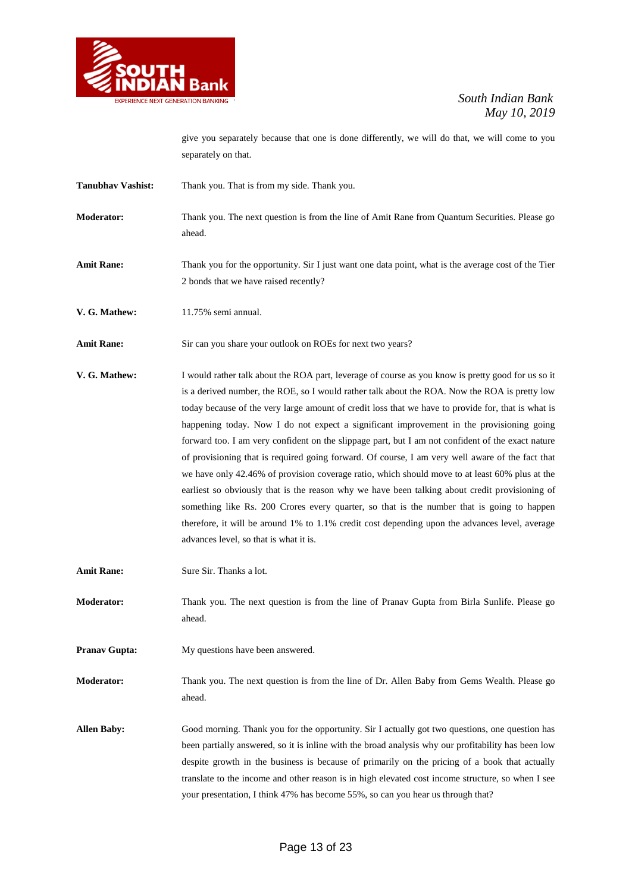

give you separately because that one is done differently, we will do that, we will come to you separately on that.

- Tanubhav Vashist: Thank you. That is from my side. Thank you.
- **Moderator:** Thank you. The next question is from the line of Amit Rane from Quantum Securities. Please go ahead.
- **Amit Rane:** Thank you for the opportunity. Sir I just want one data point, what is the average cost of the Tier 2 bonds that we have raised recently?
- **V. G. Mathew:** 11.75% semi annual.

Amit Rane: Sir can you share your outlook on ROEs for next two years?

**V. G. Mathew:** I would rather talk about the ROA part, leverage of course as you know is pretty good for us so it is a derived number, the ROE, so I would rather talk about the ROA. Now the ROA is pretty low today because of the very large amount of credit loss that we have to provide for, that is what is happening today. Now I do not expect a significant improvement in the provisioning going forward too. I am very confident on the slippage part, but I am not confident of the exact nature of provisioning that is required going forward. Of course, I am very well aware of the fact that we have only 42.46% of provision coverage ratio, which should move to at least 60% plus at the earliest so obviously that is the reason why we have been talking about credit provisioning of something like Rs. 200 Crores every quarter, so that is the number that is going to happen therefore, it will be around 1% to 1.1% credit cost depending upon the advances level, average advances level, so that is what it is.

**Amit Rane:** Sure Sir. Thanks a lot.

**Moderator:** Thank you. The next question is from the line of Pranav Gupta from Birla Sunlife. Please go ahead.

**Pranav Gupta:** My questions have been answered.

**Moderator:** Thank you. The next question is from the line of Dr. Allen Baby from Gems Wealth. Please go ahead.

**Allen Baby:** Good morning. Thank you for the opportunity. Sir I actually got two questions, one question has been partially answered, so it is inline with the broad analysis why our profitability has been low despite growth in the business is because of primarily on the pricing of a book that actually translate to the income and other reason is in high elevated cost income structure, so when I see your presentation, I think 47% has become 55%, so can you hear us through that?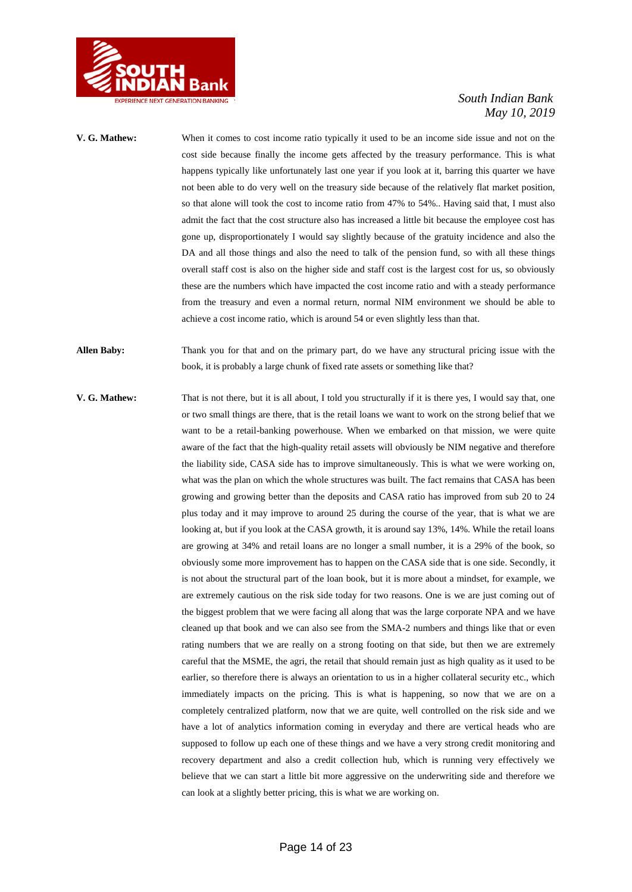

- **V. G. Mathew:** When it comes to cost income ratio typically it used to be an income side issue and not on the cost side because finally the income gets affected by the treasury performance. This is what happens typically like unfortunately last one year if you look at it, barring this quarter we have not been able to do very well on the treasury side because of the relatively flat market position, so that alone will took the cost to income ratio from 47% to 54%.. Having said that, I must also admit the fact that the cost structure also has increased a little bit because the employee cost has gone up, disproportionately I would say slightly because of the gratuity incidence and also the DA and all those things and also the need to talk of the pension fund, so with all these things overall staff cost is also on the higher side and staff cost is the largest cost for us, so obviously these are the numbers which have impacted the cost income ratio and with a steady performance from the treasury and even a normal return, normal NIM environment we should be able to achieve a cost income ratio, which is around 54 or even slightly less than that.
- **Allen Baby:** Thank you for that and on the primary part, do we have any structural pricing issue with the book, it is probably a large chunk of fixed rate assets or something like that?
- **V. G. Mathew:** That is not there, but it is all about, I told you structurally if it is there yes, I would say that, one or two small things are there, that is the retail loans we want to work on the strong belief that we want to be a retail-banking powerhouse. When we embarked on that mission, we were quite aware of the fact that the high-quality retail assets will obviously be NIM negative and therefore the liability side, CASA side has to improve simultaneously. This is what we were working on, what was the plan on which the whole structures was built. The fact remains that CASA has been growing and growing better than the deposits and CASA ratio has improved from sub 20 to 24 plus today and it may improve to around 25 during the course of the year, that is what we are looking at, but if you look at the CASA growth, it is around say 13%, 14%. While the retail loans are growing at 34% and retail loans are no longer a small number, it is a 29% of the book, so obviously some more improvement has to happen on the CASA side that is one side. Secondly, it is not about the structural part of the loan book, but it is more about a mindset, for example, we are extremely cautious on the risk side today for two reasons. One is we are just coming out of the biggest problem that we were facing all along that was the large corporate NPA and we have cleaned up that book and we can also see from the SMA-2 numbers and things like that or even rating numbers that we are really on a strong footing on that side, but then we are extremely careful that the MSME, the agri, the retail that should remain just as high quality as it used to be earlier, so therefore there is always an orientation to us in a higher collateral security etc., which immediately impacts on the pricing. This is what is happening, so now that we are on a completely centralized platform, now that we are quite, well controlled on the risk side and we have a lot of analytics information coming in everyday and there are vertical heads who are supposed to follow up each one of these things and we have a very strong credit monitoring and recovery department and also a credit collection hub, which is running very effectively we believe that we can start a little bit more aggressive on the underwriting side and therefore we can look at a slightly better pricing, this is what we are working on.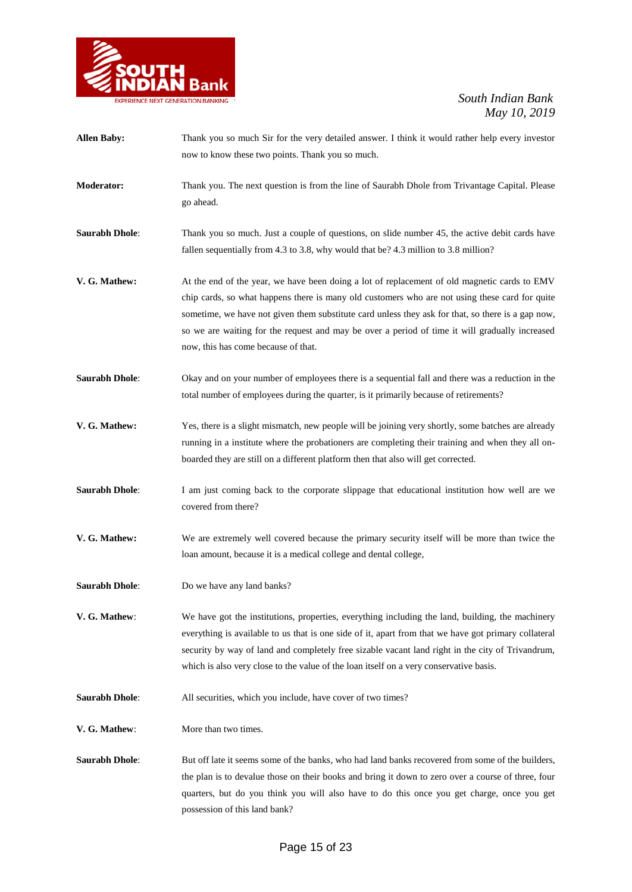

| <b>Allen Baby:</b>    | Thank you so much Sir for the very detailed answer. I think it would rather help every investor<br>now to know these two points. Thank you so much.                                                                                                                                                                                                                                                                                          |
|-----------------------|----------------------------------------------------------------------------------------------------------------------------------------------------------------------------------------------------------------------------------------------------------------------------------------------------------------------------------------------------------------------------------------------------------------------------------------------|
| <b>Moderator:</b>     | Thank you. The next question is from the line of Saurabh Dhole from Trivantage Capital. Please<br>go ahead.                                                                                                                                                                                                                                                                                                                                  |
| <b>Saurabh Dhole:</b> | Thank you so much. Just a couple of questions, on slide number 45, the active debit cards have<br>fallen sequentially from 4.3 to 3.8, why would that be? 4.3 million to 3.8 million?                                                                                                                                                                                                                                                        |
| V. G. Mathew:         | At the end of the year, we have been doing a lot of replacement of old magnetic cards to EMV<br>chip cards, so what happens there is many old customers who are not using these card for quite<br>sometime, we have not given them substitute card unless they ask for that, so there is a gap now,<br>so we are waiting for the request and may be over a period of time it will gradually increased<br>now, this has come because of that. |
| <b>Saurabh Dhole:</b> | Okay and on your number of employees there is a sequential fall and there was a reduction in the<br>total number of employees during the quarter, is it primarily because of retirements?                                                                                                                                                                                                                                                    |
| V. G. Mathew:         | Yes, there is a slight mismatch, new people will be joining very shortly, some batches are already<br>running in a institute where the probationers are completing their training and when they all on-<br>boarded they are still on a different platform then that also will get corrected.                                                                                                                                                 |
| <b>Saurabh Dhole:</b> | I am just coming back to the corporate slippage that educational institution how well are we<br>covered from there?                                                                                                                                                                                                                                                                                                                          |
| V. G. Mathew:         | We are extremely well covered because the primary security itself will be more than twice the<br>loan amount, because it is a medical college and dental college,                                                                                                                                                                                                                                                                            |
| <b>Saurabh Dhole:</b> | Do we have any land banks?                                                                                                                                                                                                                                                                                                                                                                                                                   |
| V. G. Mathew:         | We have got the institutions, properties, everything including the land, building, the machinery<br>everything is available to us that is one side of it, apart from that we have got primary collateral<br>security by way of land and completely free sizable vacant land right in the city of Trivandrum,<br>which is also very close to the value of the loan itself on a very conservative basis.                                       |
| <b>Saurabh Dhole:</b> | All securities, which you include, have cover of two times?                                                                                                                                                                                                                                                                                                                                                                                  |
| V. G. Mathew:         | More than two times.                                                                                                                                                                                                                                                                                                                                                                                                                         |
| <b>Saurabh Dhole:</b> | But off late it seems some of the banks, who had land banks recovered from some of the builders,<br>the plan is to devalue those on their books and bring it down to zero over a course of three, four<br>quarters, but do you think you will also have to do this once you get charge, once you get<br>possession of this land bank?                                                                                                        |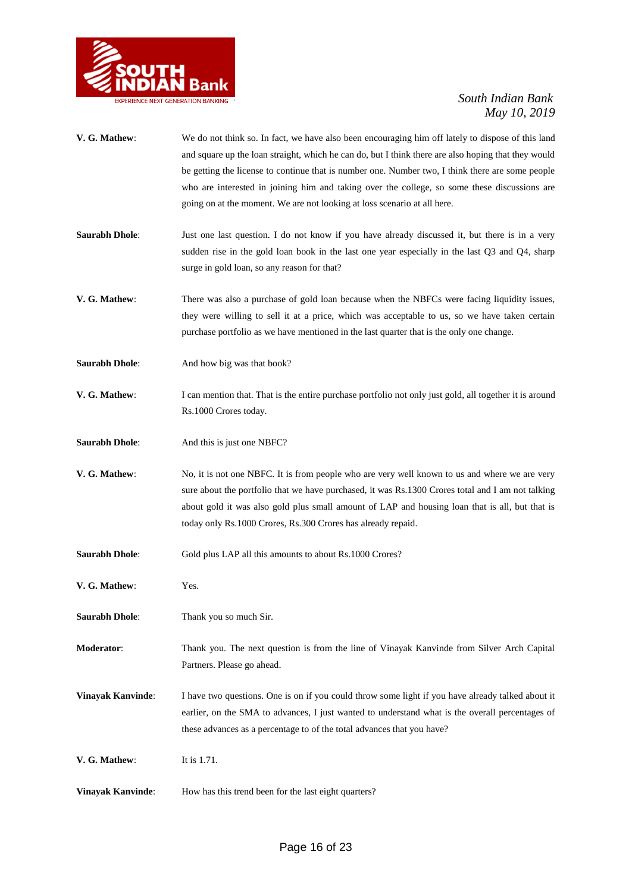

| V. G. Mathew:         | We do not think so. In fact, we have also been encouraging him off lately to dispose of this land<br>and square up the loan straight, which he can do, but I think there are also hoping that they would<br>be getting the license to continue that is number one. Number two, I think there are some people<br>who are interested in joining him and taking over the college, so some these discussions are<br>going on at the moment. We are not looking at loss scenario at all here. |
|-----------------------|------------------------------------------------------------------------------------------------------------------------------------------------------------------------------------------------------------------------------------------------------------------------------------------------------------------------------------------------------------------------------------------------------------------------------------------------------------------------------------------|
| <b>Saurabh Dhole:</b> | Just one last question. I do not know if you have already discussed it, but there is in a very<br>sudden rise in the gold loan book in the last one year especially in the last Q3 and Q4, sharp<br>surge in gold loan, so any reason for that?                                                                                                                                                                                                                                          |
| V. G. Mathew:         | There was also a purchase of gold loan because when the NBFCs were facing liquidity issues,<br>they were willing to sell it at a price, which was acceptable to us, so we have taken certain<br>purchase portfolio as we have mentioned in the last quarter that is the only one change.                                                                                                                                                                                                 |
| <b>Saurabh Dhole:</b> | And how big was that book?                                                                                                                                                                                                                                                                                                                                                                                                                                                               |
| V. G. Mathew:         | I can mention that. That is the entire purchase portfolio not only just gold, all together it is around<br>Rs.1000 Crores today.                                                                                                                                                                                                                                                                                                                                                         |
| <b>Saurabh Dhole:</b> | And this is just one NBFC?                                                                                                                                                                                                                                                                                                                                                                                                                                                               |
| V. G. Mathew:         | No, it is not one NBFC. It is from people who are very well known to us and where we are very<br>sure about the portfolio that we have purchased, it was Rs.1300 Crores total and I am not talking<br>about gold it was also gold plus small amount of LAP and housing loan that is all, but that is<br>today only Rs.1000 Crores, Rs.300 Crores has already repaid.                                                                                                                     |
| <b>Saurabh Dhole:</b> | Gold plus LAP all this amounts to about Rs.1000 Crores?                                                                                                                                                                                                                                                                                                                                                                                                                                  |
| V. G. Mathew:         | Yes.                                                                                                                                                                                                                                                                                                                                                                                                                                                                                     |
| <b>Saurabh Dhole:</b> | Thank you so much Sir.                                                                                                                                                                                                                                                                                                                                                                                                                                                                   |
| Moderator:            | Thank you. The next question is from the line of Vinayak Kanvinde from Silver Arch Capital<br>Partners. Please go ahead.                                                                                                                                                                                                                                                                                                                                                                 |
| Vinayak Kanvinde:     | I have two questions. One is on if you could throw some light if you have already talked about it<br>earlier, on the SMA to advances, I just wanted to understand what is the overall percentages of<br>these advances as a percentage to of the total advances that you have?                                                                                                                                                                                                           |
| V. G. Mathew:         | It is 1.71.                                                                                                                                                                                                                                                                                                                                                                                                                                                                              |
| Vinayak Kanvinde:     | How has this trend been for the last eight quarters?                                                                                                                                                                                                                                                                                                                                                                                                                                     |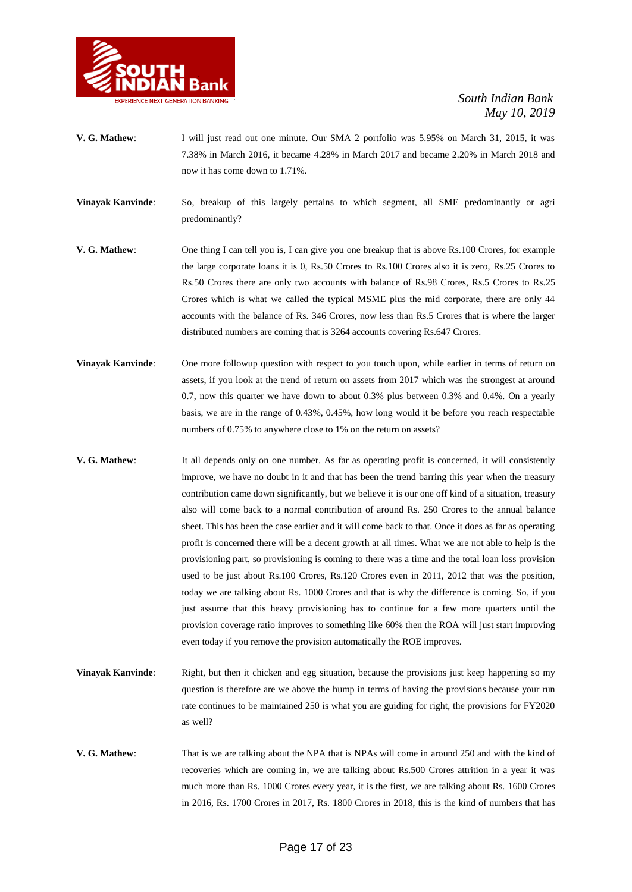

- **V. G. Mathew**: I will just read out one minute. Our SMA 2 portfolio was 5.95% on March 31, 2015, it was 7.38% in March 2016, it became 4.28% in March 2017 and became 2.20% in March 2018 and now it has come down to 1.71%.
- **Vinayak Kanvinde**: So, breakup of this largely pertains to which segment, all SME predominantly or agri predominantly?
- **V. G. Mathew**: One thing I can tell you is, I can give you one breakup that is above Rs.100 Crores, for example the large corporate loans it is 0, Rs.50 Crores to Rs.100 Crores also it is zero, Rs.25 Crores to Rs.50 Crores there are only two accounts with balance of Rs.98 Crores, Rs.5 Crores to Rs.25 Crores which is what we called the typical MSME plus the mid corporate, there are only 44 accounts with the balance of Rs. 346 Crores, now less than Rs.5 Crores that is where the larger distributed numbers are coming that is 3264 accounts covering Rs.647 Crores.
- **Vinayak Kanvinde:** One more followup question with respect to you touch upon, while earlier in terms of return on assets, if you look at the trend of return on assets from 2017 which was the strongest at around 0.7, now this quarter we have down to about 0.3% plus between 0.3% and 0.4%. On a yearly basis, we are in the range of 0.43%, 0.45%, how long would it be before you reach respectable numbers of 0.75% to anywhere close to 1% on the return on assets?
- **V. G. Mathew**: It all depends only on one number. As far as operating profit is concerned, it will consistently improve, we have no doubt in it and that has been the trend barring this year when the treasury contribution came down significantly, but we believe it is our one off kind of a situation, treasury also will come back to a normal contribution of around Rs. 250 Crores to the annual balance sheet. This has been the case earlier and it will come back to that. Once it does as far as operating profit is concerned there will be a decent growth at all times. What we are not able to help is the provisioning part, so provisioning is coming to there was a time and the total loan loss provision used to be just about Rs.100 Crores, Rs.120 Crores even in 2011, 2012 that was the position, today we are talking about Rs. 1000 Crores and that is why the difference is coming. So, if you just assume that this heavy provisioning has to continue for a few more quarters until the provision coverage ratio improves to something like 60% then the ROA will just start improving even today if you remove the provision automatically the ROE improves.
- **Vinayak Kanvinde**: Right, but then it chicken and egg situation, because the provisions just keep happening so my question is therefore are we above the hump in terms of having the provisions because your run rate continues to be maintained 250 is what you are guiding for right, the provisions for FY2020 as well?
- **V. G. Mathew**: That is we are talking about the NPA that is NPAs will come in around 250 and with the kind of recoveries which are coming in, we are talking about Rs.500 Crores attrition in a year it was much more than Rs. 1000 Crores every year, it is the first, we are talking about Rs. 1600 Crores in 2016, Rs. 1700 Crores in 2017, Rs. 1800 Crores in 2018, this is the kind of numbers that has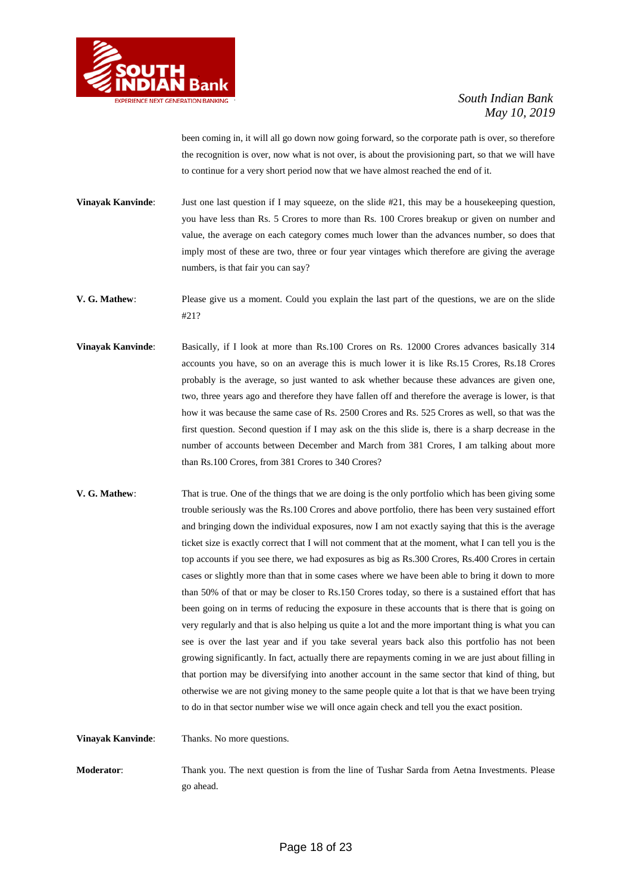

been coming in, it will all go down now going forward, so the corporate path is over, so therefore the recognition is over, now what is not over, is about the provisioning part, so that we will have to continue for a very short period now that we have almost reached the end of it.

**Vinayak Kanvinde**: Just one last question if I may squeeze, on the slide #21, this may be a housekeeping question, you have less than Rs. 5 Crores to more than Rs. 100 Crores breakup or given on number and value, the average on each category comes much lower than the advances number, so does that imply most of these are two, three or four year vintages which therefore are giving the average numbers, is that fair you can say?

- **V. G. Mathew**: Please give us a moment. Could you explain the last part of the questions, we are on the slide #21?
- **Vinayak Kanvinde:** Basically, if I look at more than Rs.100 Crores on Rs. 12000 Crores advances basically 314 accounts you have, so on an average this is much lower it is like Rs.15 Crores, Rs.18 Crores probably is the average, so just wanted to ask whether because these advances are given one, two, three years ago and therefore they have fallen off and therefore the average is lower, is that how it was because the same case of Rs. 2500 Crores and Rs. 525 Crores as well, so that was the first question. Second question if I may ask on the this slide is, there is a sharp decrease in the number of accounts between December and March from 381 Crores, I am talking about more than Rs.100 Crores, from 381 Crores to 340 Crores?
- **V. G. Mathew**: That is true. One of the things that we are doing is the only portfolio which has been giving some trouble seriously was the Rs.100 Crores and above portfolio, there has been very sustained effort and bringing down the individual exposures, now I am not exactly saying that this is the average ticket size is exactly correct that I will not comment that at the moment, what I can tell you is the top accounts if you see there, we had exposures as big as Rs.300 Crores, Rs.400 Crores in certain cases or slightly more than that in some cases where we have been able to bring it down to more than 50% of that or may be closer to Rs.150 Crores today, so there is a sustained effort that has been going on in terms of reducing the exposure in these accounts that is there that is going on very regularly and that is also helping us quite a lot and the more important thing is what you can see is over the last year and if you take several years back also this portfolio has not been growing significantly. In fact, actually there are repayments coming in we are just about filling in that portion may be diversifying into another account in the same sector that kind of thing, but otherwise we are not giving money to the same people quite a lot that is that we have been trying to do in that sector number wise we will once again check and tell you the exact position.

**Vinayak Kanvinde:** Thanks. No more questions.

**Moderator**: Thank you. The next question is from the line of Tushar Sarda from Aetna Investments. Please go ahead.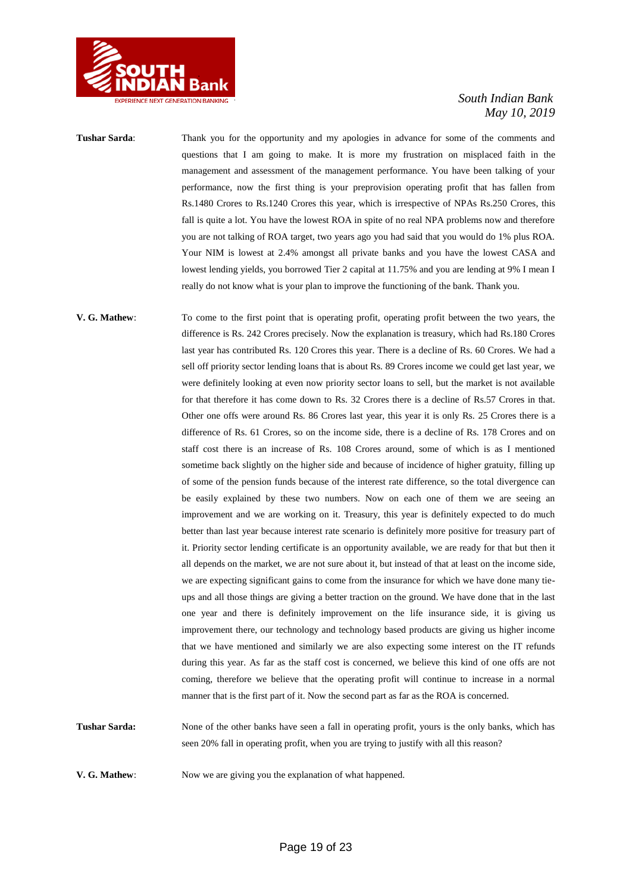

**Tushar Sarda**: Thank you for the opportunity and my apologies in advance for some of the comments and questions that I am going to make. It is more my frustration on misplaced faith in the management and assessment of the management performance. You have been talking of your performance, now the first thing is your preprovision operating profit that has fallen from Rs.1480 Crores to Rs.1240 Crores this year, which is irrespective of NPAs Rs.250 Crores, this fall is quite a lot. You have the lowest ROA in spite of no real NPA problems now and therefore you are not talking of ROA target, two years ago you had said that you would do 1% plus ROA. Your NIM is lowest at 2.4% amongst all private banks and you have the lowest CASA and lowest lending yields, you borrowed Tier 2 capital at 11.75% and you are lending at 9% I mean I really do not know what is your plan to improve the functioning of the bank. Thank you.

**V. G. Mathew**: To come to the first point that is operating profit, operating profit between the two years, the difference is Rs. 242 Crores precisely. Now the explanation is treasury, which had Rs.180 Crores last year has contributed Rs. 120 Crores this year. There is a decline of Rs. 60 Crores. We had a sell off priority sector lending loans that is about Rs. 89 Crores income we could get last year, we were definitely looking at even now priority sector loans to sell, but the market is not available for that therefore it has come down to Rs. 32 Crores there is a decline of Rs.57 Crores in that. Other one offs were around Rs. 86 Crores last year, this year it is only Rs. 25 Crores there is a difference of Rs. 61 Crores, so on the income side, there is a decline of Rs. 178 Crores and on staff cost there is an increase of Rs. 108 Crores around, some of which is as I mentioned sometime back slightly on the higher side and because of incidence of higher gratuity, filling up of some of the pension funds because of the interest rate difference, so the total divergence can be easily explained by these two numbers. Now on each one of them we are seeing an improvement and we are working on it. Treasury, this year is definitely expected to do much better than last year because interest rate scenario is definitely more positive for treasury part of it. Priority sector lending certificate is an opportunity available, we are ready for that but then it all depends on the market, we are not sure about it, but instead of that at least on the income side, we are expecting significant gains to come from the insurance for which we have done many tieups and all those things are giving a better traction on the ground. We have done that in the last one year and there is definitely improvement on the life insurance side, it is giving us improvement there, our technology and technology based products are giving us higher income that we have mentioned and similarly we are also expecting some interest on the IT refunds during this year. As far as the staff cost is concerned, we believe this kind of one offs are not coming, therefore we believe that the operating profit will continue to increase in a normal manner that is the first part of it. Now the second part as far as the ROA is concerned.

**Tushar Sarda:** None of the other banks have seen a fall in operating profit, yours is the only banks, which has seen 20% fall in operating profit, when you are trying to justify with all this reason?

**V. G. Mathew:** Now we are giving you the explanation of what happened.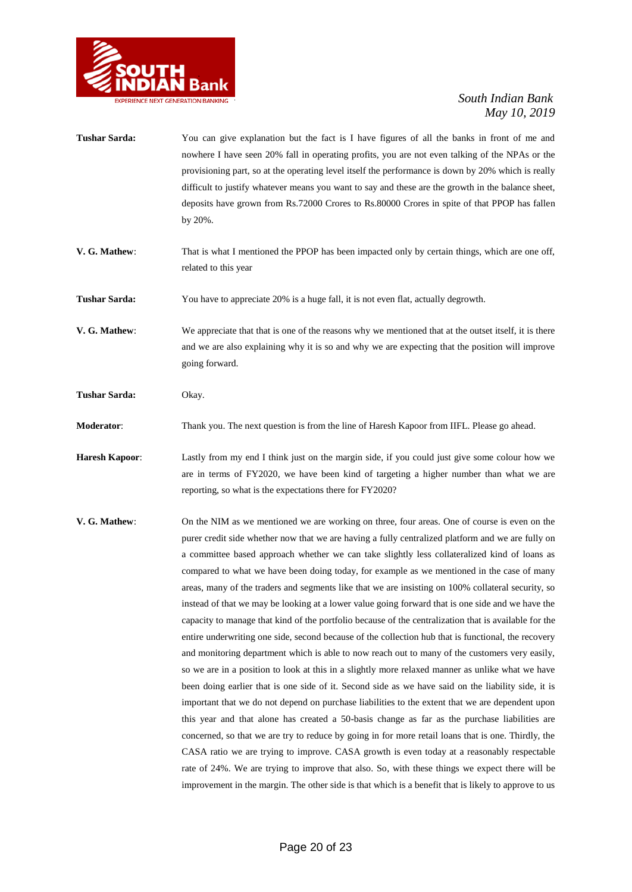

- **Tushar Sarda:** You can give explanation but the fact is I have figures of all the banks in front of me and nowhere I have seen 20% fall in operating profits, you are not even talking of the NPAs or the provisioning part, so at the operating level itself the performance is down by 20% which is really difficult to justify whatever means you want to say and these are the growth in the balance sheet, deposits have grown from Rs.72000 Crores to Rs.80000 Crores in spite of that PPOP has fallen by 20%.
- **V. G. Mathew**: That is what I mentioned the PPOP has been impacted only by certain things, which are one off, related to this year

**Tushar Sarda:** You have to appreciate 20% is a huge fall, it is not even flat, actually degrowth.

**V. G. Mathew**: We appreciate that that is one of the reasons why we mentioned that at the outset itself, it is there and we are also explaining why it is so and why we are expecting that the position will improve going forward.

**Tushar Sarda:** Okay.

**Moderator**: Thank you. The next question is from the line of Haresh Kapoor from IIFL. Please go ahead.

**Haresh Kapoor**: Lastly from my end I think just on the margin side, if you could just give some colour how we are in terms of FY2020, we have been kind of targeting a higher number than what we are reporting, so what is the expectations there for FY2020?

**V. G. Mathew**: On the NIM as we mentioned we are working on three, four areas. One of course is even on the purer credit side whether now that we are having a fully centralized platform and we are fully on a committee based approach whether we can take slightly less collateralized kind of loans as compared to what we have been doing today, for example as we mentioned in the case of many areas, many of the traders and segments like that we are insisting on 100% collateral security, so instead of that we may be looking at a lower value going forward that is one side and we have the capacity to manage that kind of the portfolio because of the centralization that is available for the entire underwriting one side, second because of the collection hub that is functional, the recovery and monitoring department which is able to now reach out to many of the customers very easily, so we are in a position to look at this in a slightly more relaxed manner as unlike what we have been doing earlier that is one side of it. Second side as we have said on the liability side, it is important that we do not depend on purchase liabilities to the extent that we are dependent upon this year and that alone has created a 50-basis change as far as the purchase liabilities are concerned, so that we are try to reduce by going in for more retail loans that is one. Thirdly, the CASA ratio we are trying to improve. CASA growth is even today at a reasonably respectable rate of 24%. We are trying to improve that also. So, with these things we expect there will be improvement in the margin. The other side is that which is a benefit that is likely to approve to us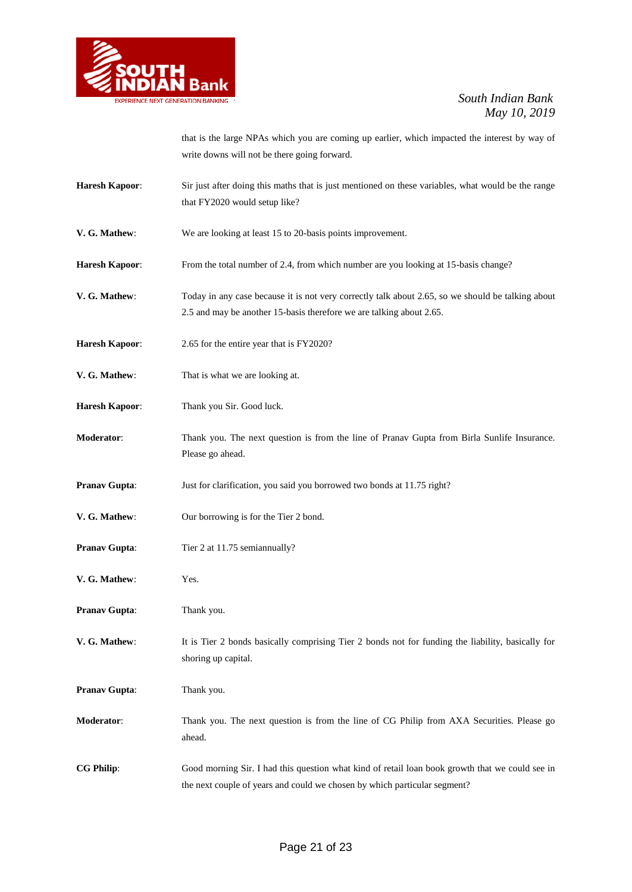

that is the large NPAs which you are coming up earlier, which impacted the interest by way of write downs will not be there going forward.

- **Haresh Kapoor**: Sir just after doing this maths that is just mentioned on these variables, what would be the range that FY2020 would setup like?
- **V. G. Mathew**: We are looking at least 15 to 20-basis points improvement.
- Haresh Kapoor: From the total number of 2.4, from which number are you looking at 15-basis change?
- **V. G. Mathew:** Today in any case because it is not very correctly talk about 2.65, so we should be talking about 2.5 and may be another 15-basis therefore we are talking about 2.65.
- **Haresh Kapoor**: 2.65 for the entire year that is FY2020?
- **V. G. Mathew**: That is what we are looking at.
- **Haresh Kapoor**: Thank you Sir. Good luck.
- **Moderator**: Thank you. The next question is from the line of Pranav Gupta from Birla Sunlife Insurance. Please go ahead.
- **Pranav Gupta:** Just for clarification, you said you borrowed two bonds at 11.75 right?
- **V. G. Mathew**: Our borrowing is for the Tier 2 bond.
- **Pranav Gupta:** Tier 2 at 11.75 semiannually?
- **V. G. Mathew**: Yes.
- **Pranav Gupta:** Thank you.
- **V. G. Mathew**: It is Tier 2 bonds basically comprising Tier 2 bonds not for funding the liability, basically for shoring up capital.
- **Pranav Gupta:** Thank you.
- **Moderator**: Thank you. The next question is from the line of CG Philip from AXA Securities. Please go ahead.
- **CG Philip**: Good morning Sir. I had this question what kind of retail loan book growth that we could see in the next couple of years and could we chosen by which particular segment?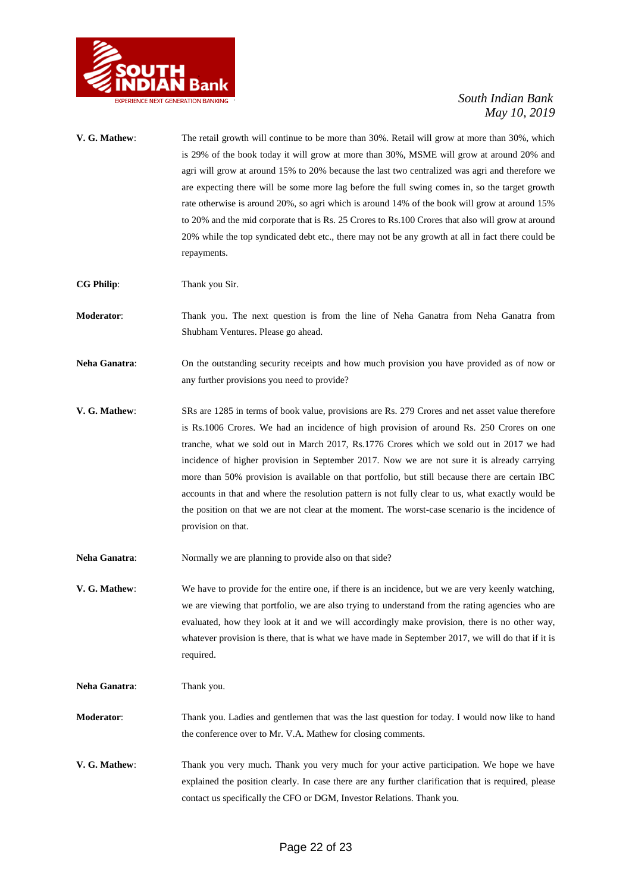

**V. G. Mathew**: The retail growth will continue to be more than 30%. Retail will grow at more than 30%, which is 29% of the book today it will grow at more than 30%, MSME will grow at around 20% and agri will grow at around 15% to 20% because the last two centralized was agri and therefore we are expecting there will be some more lag before the full swing comes in, so the target growth rate otherwise is around 20%, so agri which is around 14% of the book will grow at around 15% to 20% and the mid corporate that is Rs. 25 Crores to Rs.100 Crores that also will grow at around 20% while the top syndicated debt etc., there may not be any growth at all in fact there could be repayments.

**CG Philip**: Thank you Sir.

- **Moderator**: Thank you. The next question is from the line of Neha Ganatra from Neha Ganatra from Shubham Ventures. Please go ahead.
- **Neha Ganatra**: On the outstanding security receipts and how much provision you have provided as of now or any further provisions you need to provide?
- **V. G. Mathew**: SRs are 1285 in terms of book value, provisions are Rs. 279 Crores and net asset value therefore is Rs.1006 Crores. We had an incidence of high provision of around Rs. 250 Crores on one tranche, what we sold out in March 2017, Rs.1776 Crores which we sold out in 2017 we had incidence of higher provision in September 2017. Now we are not sure it is already carrying more than 50% provision is available on that portfolio, but still because there are certain IBC accounts in that and where the resolution pattern is not fully clear to us, what exactly would be the position on that we are not clear at the moment. The worst-case scenario is the incidence of provision on that.
- Neha Ganatra: Normally we are planning to provide also on that side?
- **V. G. Mathew**: We have to provide for the entire one, if there is an incidence, but we are very keenly watching, we are viewing that portfolio, we are also trying to understand from the rating agencies who are evaluated, how they look at it and we will accordingly make provision, there is no other way, whatever provision is there, that is what we have made in September 2017, we will do that if it is required.

**Neha Ganatra:** Thank you.

- **Moderator**: Thank you. Ladies and gentlemen that was the last question for today. I would now like to hand the conference over to Mr. V.A. Mathew for closing comments.
- **V. G. Mathew**: Thank you very much. Thank you very much for your active participation. We hope we have explained the position clearly. In case there are any further clarification that is required, please contact us specifically the CFO or DGM, Investor Relations. Thank you.